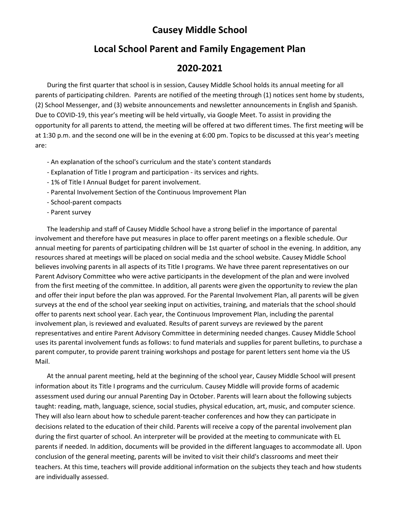## **Causey Middle School**

## **Local School Parent and Family Engagement Plan**

## **2020-2021**

During the first quarter that school is in session, Causey Middle School holds its annual meeting for all parents of participating children. Parents are notified of the meeting through (1) notices sent home by students, (2) School Messenger, and (3) website announcements and newsletter announcements in English and Spanish. Due to COVID-19, this year's meeting will be held virtually, via Google Meet. To assist in providing the opportunity for all parents to attend, the meeting will be offered at two different times. The first meeting will be at 1:30 p.m. and the second one will be in the evening at 6:00 pm. Topics to be discussed at this year's meeting are:

- An explanation of the school's curriculum and the state's content standards
- Explanation of Title I program and participation its services and rights.
- 1% of Title I Annual Budget for parent involvement.
- Parental Involvement Section of the Continuous Improvement Plan
- School-parent compacts
- Parent survey

The leadership and staff of Causey Middle School have a strong belief in the importance of parental involvement and therefore have put measures in place to offer parent meetings on a flexible schedule. Our annual meeting for parents of participating children will be 1st quarter of school in the evening. In addition, any resources shared at meetings will be placed on social media and the school website. Causey Middle School believes involving parents in all aspects of its Title I programs. We have three parent representatives on our Parent Advisory Committee who were active participants in the development of the plan and were involved from the first meeting of the committee. In addition, all parents were given the opportunity to review the plan and offer their input before the plan was approved. For the Parental Involvement Plan, all parents will be given surveys at the end of the school year seeking input on activities, training, and materials that the school should offer to parents next school year. Each year, the Continuous Improvement Plan, including the parental involvement plan, is reviewed and evaluated. Results of parent surveys are reviewed by the parent representatives and entire Parent Advisory Committee in determining needed changes. Causey Middle School uses its parental involvement funds as follows: to fund materials and supplies for parent bulletins, to purchase a parent computer, to provide parent training workshops and postage for parent letters sent home via the US Mail.

At the annual parent meeting, held at the beginning of the school year, Causey Middle School will present information about its Title I programs and the curriculum. Causey Middle will provide forms of academic assessment used during our annual Parenting Day in October. Parents will learn about the following subjects taught: reading, math, language, science, social studies, physical education, art, music, and computer science. They will also learn about how to schedule parent-teacher conferences and how they can participate in decisions related to the education of their child. Parents will receive a copy of the parental involvement plan during the first quarter of school. An interpreter will be provided at the meeting to communicate with EL parents if needed. In addition, documents will be provided in the different languages to accommodate all. Upon conclusion of the general meeting, parents will be invited to visit their child's classrooms and meet their teachers. At this time, teachers will provide additional information on the subjects they teach and how students are individually assessed.